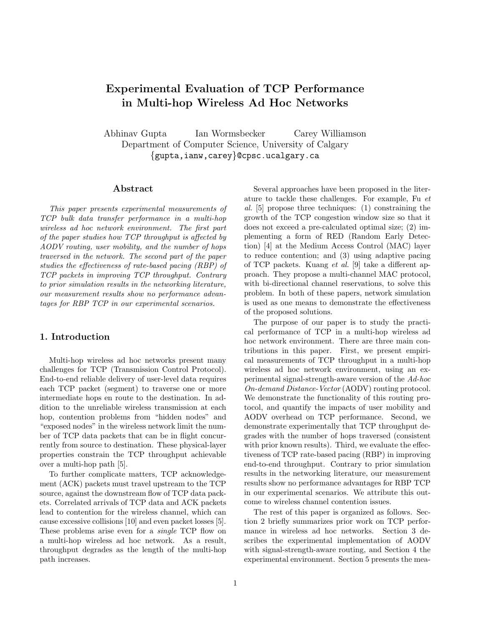# Experimental Evaluation of TCP Performance in Multi-hop Wireless Ad Hoc Networks

Abhinav Gupta Ian Wormsbecker Carey Williamson Department of Computer Science, University of Calgary {gupta,ianw,carey}@cpsc.ucalgary.ca

### Abstract

This paper presents experimental measurements of TCP bulk data transfer performance in a multi-hop wireless ad hoc network environment. The first part of the paper studies how TCP throughput is affected by AODV routing, user mobility, and the number of hops traversed in the network. The second part of the paper studies the effectiveness of rate-based pacing (RBP) of TCP packets in improving TCP throughput. Contrary to prior simulation results in the networking literature, our measurement results show no performance advantages for RBP TCP in our experimental scenarios.

# 1. Introduction

Multi-hop wireless ad hoc networks present many challenges for TCP (Transmission Control Protocol). End-to-end reliable delivery of user-level data requires each TCP packet (segment) to traverse one or more intermediate hops en route to the destination. In addition to the unreliable wireless transmission at each hop, contention problems from "hidden nodes" and "exposed nodes" in the wireless network limit the number of TCP data packets that can be in flight concurrently from source to destination. These physical-layer properties constrain the TCP throughput achievable over a multi-hop path [5].

To further complicate matters, TCP acknowledgement (ACK) packets must travel upstream to the TCP source, against the downstream flow of TCP data packets. Correlated arrivals of TCP data and ACK packets lead to contention for the wireless channel, which can cause excessive collisions [10] and even packet losses [5]. These problems arise even for a *single* TCP flow on a multi-hop wireless ad hoc network. As a result, throughput degrades as the length of the multi-hop path increases.

Several approaches have been proposed in the literature to tackle these challenges. For example, Fu et al. [5] propose three techniques: (1) constraining the growth of the TCP congestion window size so that it does not exceed a pre-calculated optimal size; (2) implementing a form of RED (Random Early Detection) [4] at the Medium Access Control (MAC) layer to reduce contention; and (3) using adaptive pacing of TCP packets. Kuang et al. [9] take a different approach. They propose a multi-channel MAC protocol, with bi-directional channel reservations, to solve this problem. In both of these papers, network simulation is used as one means to demonstrate the effectiveness of the proposed solutions.

The purpose of our paper is to study the practical performance of TCP in a multi-hop wireless ad hoc network environment. There are three main contributions in this paper. First, we present empirical measurements of TCP throughput in a multi-hop wireless ad hoc network environment, using an experimental signal-strength-aware version of the Ad-hoc On-demand Distance-Vector (AODV) routing protocol. We demonstrate the functionality of this routing protocol, and quantify the impacts of user mobility and AODV overhead on TCP performance. Second, we demonstrate experimentally that TCP throughput degrades with the number of hops traversed (consistent with prior known results). Third, we evaluate the effectiveness of TCP rate-based pacing (RBP) in improving end-to-end throughput. Contrary to prior simulation results in the networking literature, our measurement results show no performance advantages for RBP TCP in our experimental scenarios. We attribute this outcome to wireless channel contention issues.

The rest of this paper is organized as follows. Section 2 briefly summarizes prior work on TCP performance in wireless ad hoc networks. Section 3 describes the experimental implementation of AODV with signal-strength-aware routing, and Section 4 the experimental environment. Section 5 presents the mea-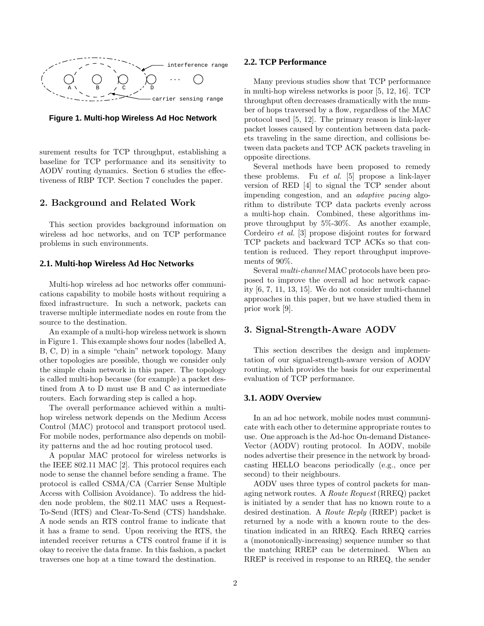

**Figure 1. Multi-hop Wireless Ad Hoc Network**

surement results for TCP throughput, establishing a baseline for TCP performance and its sensitivity to AODV routing dynamics. Section 6 studies the effectiveness of RBP TCP. Section 7 concludes the paper.

# 2. Background and Related Work

This section provides background information on wireless ad hoc networks, and on TCP performance problems in such environments.

#### **2.1. Multi-hop Wireless Ad Hoc Networks**

Multi-hop wireless ad hoc networks offer communications capability to mobile hosts without requiring a fixed infrastructure. In such a network, packets can traverse multiple intermediate nodes en route from the source to the destination.

An example of a multi-hop wireless network is shown in Figure 1. This example shows four nodes (labelled A, B, C, D) in a simple "chain" network topology. Many other topologies are possible, though we consider only the simple chain network in this paper. The topology is called multi-hop because (for example) a packet destined from A to D must use B and C as intermediate routers. Each forwarding step is called a hop.

The overall performance achieved within a multihop wireless network depends on the Medium Access Control (MAC) protocol and transport protocol used. For mobile nodes, performance also depends on mobility patterns and the ad hoc routing protocol used.

A popular MAC protocol for wireless networks is the IEEE 802.11 MAC [2]. This protocol requires each node to sense the channel before sending a frame. The protocol is called CSMA/CA (Carrier Sense Multiple Access with Collision Avoidance). To address the hidden node problem, the 802.11 MAC uses a Request-To-Send (RTS) and Clear-To-Send (CTS) handshake. A node sends an RTS control frame to indicate that it has a frame to send. Upon receiving the RTS, the intended receiver returns a CTS control frame if it is okay to receive the data frame. In this fashion, a packet traverses one hop at a time toward the destination.

## **2.2. TCP Performance**

Many previous studies show that TCP performance in multi-hop wireless networks is poor [5, 12, 16]. TCP throughput often decreases dramatically with the number of hops traversed by a flow, regardless of the MAC protocol used [5, 12]. The primary reason is link-layer packet losses caused by contention between data packets traveling in the same direction, and collisions between data packets and TCP ACK packets traveling in opposite directions.

Several methods have been proposed to remedy these problems. Fu et al. [5] propose a link-layer version of RED [4] to signal the TCP sender about impending congestion, and an adaptive pacing algorithm to distribute TCP data packets evenly across a multi-hop chain. Combined, these algorithms improve throughput by 5%-30%. As another example, Cordeiro et al. [3] propose disjoint routes for forward TCP packets and backward TCP ACKs so that contention is reduced. They report throughput improvements of 90%.

Several multi-channel MAC protocols have been proposed to improve the overall ad hoc network capacity [6, 7, 11, 13, 15]. We do not consider multi-channel approaches in this paper, but we have studied them in prior work [9].

# 3. Signal-Strength-Aware AODV

This section describes the design and implementation of our signal-strength-aware version of AODV routing, which provides the basis for our experimental evaluation of TCP performance.

## **3.1. AODV Overview**

In an ad hoc network, mobile nodes must communicate with each other to determine appropriate routes to use. One approach is the Ad-hoc On-demand Distance-Vector (AODV) routing protocol. In AODV, mobile nodes advertise their presence in the network by broadcasting HELLO beacons periodically (e.g., once per second) to their neighbours.

AODV uses three types of control packets for managing network routes. A Route Request (RREQ) packet is initiated by a sender that has no known route to a desired destination. A Route Reply (RREP) packet is returned by a node with a known route to the destination indicated in an RREQ. Each RREQ carries a (monotonically-increasing) sequence number so that the matching RREP can be determined. When an RREP is received in response to an RREQ, the sender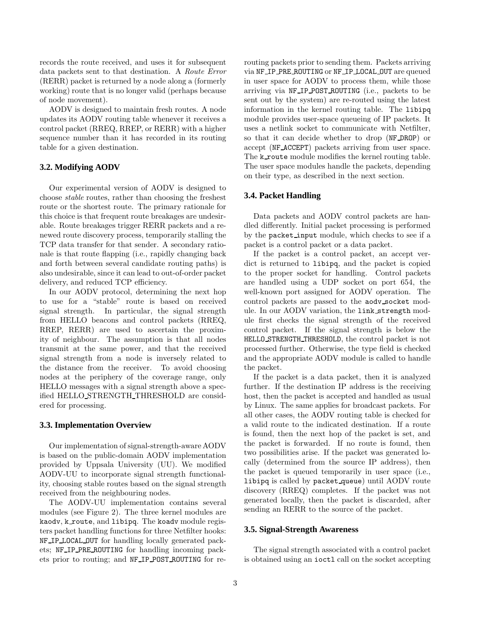records the route received, and uses it for subsequent data packets sent to that destination. A Route Error (RERR) packet is returned by a node along a (formerly working) route that is no longer valid (perhaps because of node movement).

AODV is designed to maintain fresh routes. A node updates its AODV routing table whenever it receives a control packet (RREQ, RREP, or RERR) with a higher sequence number than it has recorded in its routing table for a given destination.

## **3.2. Modifying AODV**

Our experimental version of AODV is designed to choose stable routes, rather than choosing the freshest route or the shortest route. The primary rationale for this choice is that frequent route breakages are undesirable. Route breakages trigger RERR packets and a renewed route discovery process, temporarily stalling the TCP data transfer for that sender. A secondary rationale is that route flapping (i.e., rapidly changing back and forth between several candidate routing paths) is also undesirable, since it can lead to out-of-order packet delivery, and reduced TCP efficiency.

In our AODV protocol, determining the next hop to use for a "stable" route is based on received signal strength. In particular, the signal strength from HELLO beacons and control packets (RREQ, RREP, RERR) are used to ascertain the proximity of neighbour. The assumption is that all nodes transmit at the same power, and that the received signal strength from a node is inversely related to the distance from the receiver. To avoid choosing nodes at the periphery of the coverage range, only HELLO messages with a signal strength above a specified HELLO STRENGTH THRESHOLD are considered for processing.

#### **3.3. Implementation Overview**

Our implementation of signal-strength-aware AODV is based on the public-domain AODV implementation provided by Uppsala University (UU). We modified AODV-UU to incorporate signal strength functionality, choosing stable routes based on the signal strength received from the neighbouring nodes.

The AODV-UU implementation contains several modules (see Figure 2). The three kernel modules are kaodv, k route, and libipq. The koadv module registers packet handling functions for three Netfilter hooks: NF IP LOCAL OUT for handling locally generated packets; NF IP PRE ROUTING for handling incoming packets prior to routing; and NF IP POST ROUTING for rerouting packets prior to sending them. Packets arriving via NF IP PRE ROUTING or NF IP LOCAL OUT are queued in user space for AODV to process them, while those arriving via NF IP POST ROUTING (i.e., packets to be sent out by the system) are re-routed using the latest information in the kernel routing table. The libipq module provides user-space queueing of IP packets. It uses a netlink socket to communicate with Netfilter, so that it can decide whether to drop (NF DROP) or accept (NF ACCEPT) packets arriving from user space. The k route module modifies the kernel routing table. The user space modules handle the packets, depending on their type, as described in the next section.

#### **3.4. Packet Handling**

Data packets and AODV control packets are handled differently. Initial packet processing is performed by the packet input module, which checks to see if a packet is a control packet or a data packet.

If the packet is a control packet, an accept verdict is returned to libipq, and the packet is copied to the proper socket for handling. Control packets are handled using a UDP socket on port 654, the well-known port assigned for AODV operation. The control packets are passed to the aodv socket module. In our AODV variation, the link strength module first checks the signal strength of the received control packet. If the signal strength is below the HELLO STRENGTH THRESHOLD, the control packet is not processed further. Otherwise, the type field is checked and the appropriate AODV module is called to handle the packet.

If the packet is a data packet, then it is analyzed further. If the destination IP address is the receiving host, then the packet is accepted and handled as usual by Linux. The same applies for broadcast packets. For all other cases, the AODV routing table is checked for a valid route to the indicated destination. If a route is found, then the next hop of the packet is set, and the packet is forwarded. If no route is found, then two possibilities arise. If the packet was generated locally (determined from the source IP address), then the packet is queued temporarily in user space (i.e., libipq is called by packet queue) until AODV route discovery (RREQ) completes. If the packet was not generated locally, then the packet is discarded, after sending an RERR to the source of the packet.

#### **3.5. Signal-Strength Awareness**

The signal strength associated with a control packet is obtained using an ioctl call on the socket accepting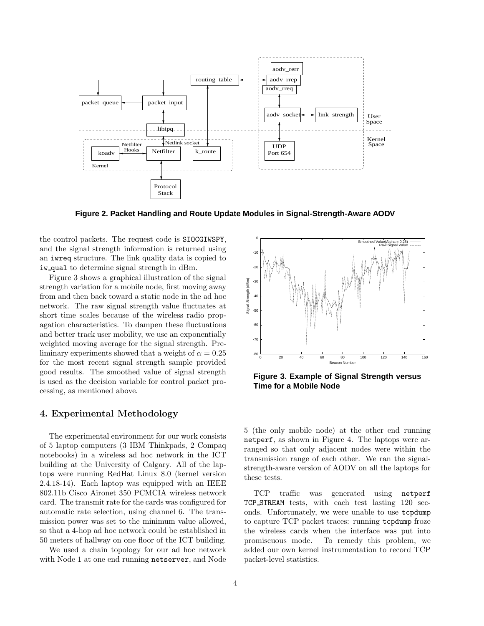

**Figure 2. Packet Handling and Route Update Modules in Signal-Strength-Aware AODV**

the control packets. The request code is SIOCGIWSPY, and the signal strength information is returned using an iwreq structure. The link quality data is copied to iw qual to determine signal strength in dBm.

Figure 3 shows a graphical illustration of the signal strength variation for a mobile node, first moving away from and then back toward a static node in the ad hoc network. The raw signal strength value fluctuates at short time scales because of the wireless radio propagation characteristics. To dampen these fluctuations and better track user mobility, we use an exponentially weighted moving average for the signal strength. Preliminary experiments showed that a weight of  $\alpha = 0.25$ for the most recent signal strength sample provided good results. The smoothed value of signal strength is used as the decision variable for control packet processing, as mentioned above.

# 4. Experimental Methodology

The experimental environment for our work consists of 5 laptop computers (3 IBM Thinkpads, 2 Compaq notebooks) in a wireless ad hoc network in the ICT building at the University of Calgary. All of the laptops were running RedHat Linux 8.0 (kernel version 2.4.18-14). Each laptop was equipped with an IEEE 802.11b Cisco Aironet 350 PCMCIA wireless network card. The transmit rate for the cards was configured for automatic rate selection, using channel 6. The transmission power was set to the minimum value allowed, so that a 4-hop ad hoc network could be established in 50 meters of hallway on one floor of the ICT building.

We used a chain topology for our ad hoc network with Node 1 at one end running netserver, and Node



**Figure 3. Example of Signal Strength versus Time for a Mobile Node**

5 (the only mobile node) at the other end running netperf, as shown in Figure 4. The laptops were arranged so that only adjacent nodes were within the transmission range of each other. We ran the signalstrength-aware version of AODV on all the laptops for these tests.

TCP traffic was generated using netperf TCP STREAM tests, with each test lasting 120 seconds. Unfortunately, we were unable to use tcpdump to capture TCP packet traces: running tcpdump froze the wireless cards when the interface was put into promiscuous mode. To remedy this problem, we added our own kernel instrumentation to record TCP packet-level statistics.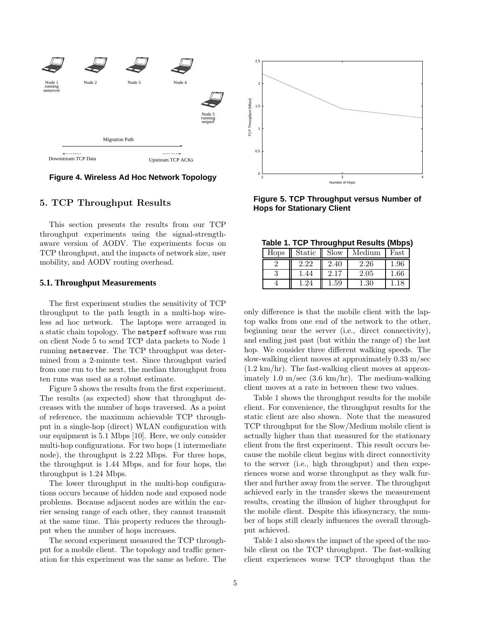

**Figure 4. Wireless Ad Hoc Network Topology**

# 5. TCP Throughput Results

This section presents the results from our TCP throughput experiments using the signal-strengthaware version of AODV. The experiments focus on TCP throughput, and the impacts of network size, user mobility, and AODV routing overhead.

#### **5.1. Throughput Measurements**

The first experiment studies the sensitivity of TCP throughput to the path length in a multi-hop wireless ad hoc network. The laptops were arranged in a static chain topology. The netperf software was run on client Node 5 to send TCP data packets to Node 1 running netserver. The TCP throughput was determined from a 2-minute test. Since throughput varied from one run to the next, the median throughput from ten runs was used as a robust estimate.

Figure 5 shows the results from the first experiment. The results (as expected) show that throughput decreases with the number of hops traversed. As a point of reference, the maximum achievable TCP throughput in a single-hop (direct) WLAN configuration with our equipment is 5.1 Mbps [10]. Here, we only consider multi-hop configurations. For two hops (1 intermediate node), the throughput is 2.22 Mbps. For three hops, the throughput is 1.44 Mbps, and for four hops, the throughput is 1.24 Mbps.

The lower throughput in the multi-hop configurations occurs because of hidden node and exposed node problems. Because adjacent nodes are within the carrier sensing range of each other, they cannot transmit at the same time. This property reduces the throughput when the number of hops increases.

The second experiment measured the TCP throughput for a mobile client. The topology and traffic generation for this experiment was the same as before. The



**Figure 5. TCP Throughput versus Number of Hops for Stationary Client**

|  |  | Table 1. TCP Throughput Results (Mbps) |  |  |  |
|--|--|----------------------------------------|--|--|--|
|--|--|----------------------------------------|--|--|--|

| Hops | Static | Slow     | Medium   | Fast     |
|------|--------|----------|----------|----------|
|      | 2.22   | 2.40     | 2.26     | $1.96\,$ |
|      |        | 2.17     | 2.05     | $1.66\,$ |
|      | - 24   | $1.59\,$ | $1.30 -$ |          |

only difference is that the mobile client with the laptop walks from one end of the network to the other, beginning near the server (i.e., direct connectivity), and ending just past (but within the range of) the last hop. We consider three different walking speeds. The slow-walking client moves at approximately 0.33 m/sec (1.2 km/hr). The fast-walking client moves at approximately 1.0 m/sec (3.6 km/hr). The medium-walking client moves at a rate in between these two values.

Table 1 shows the throughput results for the mobile client. For convenience, the throughput results for the static client are also shown. Note that the measured TCP throughput for the Slow/Medium mobile client is actually higher than that measured for the stationary client from the first experiment. This result occurs because the mobile client begins with direct connectivity to the server (i.e., high throughput) and then experiences worse and worse throughput as they walk further and further away from the server. The throughput achieved early in the transfer skews the measurement results, creating the illusion of higher throughput for the mobile client. Despite this idiosyncracy, the number of hops still clearly influences the overall throughput achieved.

Table 1 also shows the impact of the speed of the mobile client on the TCP throughput. The fast-walking client experiences worse TCP throughput than the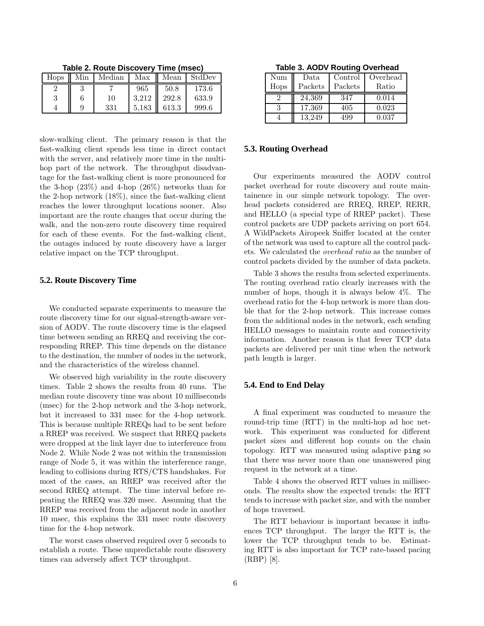**Table 2. Route Discovery Time (msec)**

| Hops | Min | Median | Max   | Mean  | StdDev |
|------|-----|--------|-------|-------|--------|
|      |     |        | 965   | 50.8  | 173.6  |
| 3    |     | 10     | 3,212 | 292.8 | 633.9  |
|      | 9   | 331    | 5,183 | 613.3 | 999.6  |

slow-walking client. The primary reason is that the fast-walking client spends less time in direct contact with the server, and relatively more time in the multihop part of the network. The throughput disadvantage for the fast-walking client is more pronounced for the 3-hop (23%) and 4-hop (26%) networks than for the 2-hop network (18%), since the fast-walking client reaches the lower throughput locations sooner. Also important are the route changes that occur during the walk, and the non-zero route discovery time required for each of these events. For the fast-walking client, the outages induced by route discovery have a larger relative impact on the TCP throughput.

#### **5.2. Route Discovery Time**

We conducted separate experiments to measure the route discovery time for our signal-strength-aware version of AODV. The route discovery time is the elapsed time between sending an RREQ and receiving the corresponding RREP. This time depends on the distance to the destination, the number of nodes in the network, and the characteristics of the wireless channel.

We observed high variability in the route discovery times. Table 2 shows the results from 40 runs. The median route discovery time was about 10 milliseconds (msec) for the 2-hop network and the 3-hop network, but it increased to 331 msec for the 4-hop network. This is because multiple RREQs had to be sent before a RREP was received. We suspect that RREQ packets were dropped at the link layer due to interference from Node 2. While Node 2 was not within the transmission range of Node 5, it was within the interference range, leading to collisions during RTS/CTS handshakes. For most of the cases, an RREP was received after the second RREQ attempt. The time interval before repeating the RREQ was 320 msec. Assuming that the RREP was received from the adjacent node in another 10 msec, this explains the 331 msec route discovery time for the 4-hop network.

The worst cases observed required over 5 seconds to establish a route. These unpredictable route discovery times can adversely affect TCP throughput.

|      | Table 5. AUDY ROUILLY OVEITIE 40 |         |          |
|------|----------------------------------|---------|----------|
| Num  | Data                             | Control | Overhead |
| Hops | Packets                          | Packets | Ratio    |
|      | 24,369                           | 347     | 0.014    |
| 3    | 17,369                           | 405     | 0.023    |
|      | 13,249                           | 499     | 0.037    |

**Table 3. AODV Routing Overhead**

#### **5.3. Routing Overhead**

Our experiments measured the AODV control packet overhead for route discovery and route maintainence in our simple network topology. The overhead packets considered are RREQ, RREP, RERR, and HELLO (a special type of RREP packet). These control packets are UDP packets arriving on port 654. A WildPackets Airopeek Sniffer located at the center of the network was used to capture all the control packets. We calculated the overhead ratio as the number of control packets divided by the number of data packets.

Table 3 shows the results from selected experiments. The routing overhead ratio clearly increases with the number of hops, though it is always below 4%. The overhead ratio for the 4-hop network is more than double that for the 2-hop network. This increase comes from the additional nodes in the network, each sending HELLO messages to maintain route and connectivity information. Another reason is that fewer TCP data packets are delivered per unit time when the network path length is larger.

## **5.4. End to End Delay**

A final experiment was conducted to measure the round-trip time (RTT) in the multi-hop ad hoc network. This experiment was conducted for different packet sizes and different hop counts on the chain topology. RTT was measured using adaptive ping so that there was never more than one unanswered ping request in the network at a time.

Table 4 shows the observed RTT values in milliseconds. The results show the expected trends: the RTT tends to increase with packet size, and with the number of hops traversed.

The RTT behaviour is important because it influences TCP throughput. The larger the RTT is, the lower the TCP throughput tends to be. Estimating RTT is also important for TCP rate-based pacing (RBP) [8].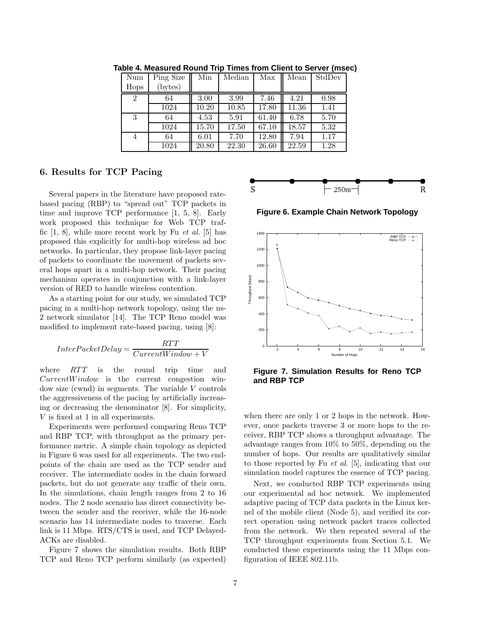| Num            | Ping Size | Min   | Median | Max   | Mean  | StdDev |
|----------------|-----------|-------|--------|-------|-------|--------|
| Hops           | (bytes)   |       |        |       |       |        |
| $\overline{2}$ | 64        | 3.00  | 3.99   | 7.46  | 4.21  | 0.98   |
|                | 1024      | 10.20 | 10.85  | 17.80 | 11.36 | 1.41   |
| 3              | 64        | 4.53  | 5.91   | 61.40 | 6.78  | 5.70   |
|                | 1024      | 15.70 | 17.50  | 67.10 | 18.57 | 5.32   |
| 4              | 64        | 6.01  | 7.70   | 12.80 | 7.94  | 1.17   |
|                | 1024      | 20.80 | 22.30  | 26.60 | 22.59 | 1.28   |

**Table 4. Measured Round Trip Times from Client to Server (msec)**

# 6. Results for TCP Pacing

Several papers in the literature have proposed ratebased pacing (RBP) to "spread out" TCP packets in time and improve TCP performance [1, 5, 8]. Early work proposed this technique for Web TCP traffic  $[1, 8]$ , while more recent work by Fu *et al.*  $[5]$  has proposed this explicitly for multi-hop wireless ad hoc networks. In particular, they propose link-layer pacing of packets to coordinate the movement of packets several hops apart in a multi-hop network. Their pacing mechanism operates in conjunction with a link-layer version of RED to handle wireless contention.

As a starting point for our study, we simulated TCP pacing in a multi-hop network topology, using the ns-2 network simulator [14]. The TCP Reno model was modified to implement rate-based pacing, using [8]:

$$
InterPacketDelay = \frac{RTT}{CurrentWindow + V}
$$

where  $RTT$  is the round trip time and CurrentWindow is the current congestion window size (cwnd) in segments. The variable V controls the aggressiveness of the pacing by artificially increasing or decreasing the denominator [8]. For simplicity, V is fixed at 1 in all experiments.

Experiments were performed comparing Reno TCP and RBP TCP, with throughput as the primary performance metric. A simple chain topology as depicted in Figure 6 was used for all experiments. The two endpoints of the chain are used as the TCP sender and receiver. The intermediate nodes in the chain forward packets, but do not generate any traffic of their own. In the simulations, chain length ranges from 2 to 16 nodes. The 2 node scenario has direct connectivity between the sender and the receiver, while the 16-node scenario has 14 intermediate nodes to traverse. Each link is 11 Mbps. RTS/CTS is used, and TCP Delayed-ACKs are disabled.

Figure 7 shows the simulation results. Both RBP TCP and Reno TCP perform similarly (as expected)



**Figure 6. Example Chain Network Topology**



**Figure 7. Simulation Results for Reno TCP and RBP TCP**

when there are only 1 or 2 hops in the network. However, once packets traverse 3 or more hops to the receiver, RBP TCP shows a throughput advantage. The advantage ranges from 10% to 50%, depending on the number of hops. Our results are qualitatively similar to those reported by Fu et al. [5], indicating that our simulation model captures the essence of TCP pacing.

Next, we conducted RBP TCP experiments using our experimental ad hoc network. We implemented adaptive pacing of TCP data packets in the Linux kernel of the mobile client (Node 5), and verified its correct operation using network packet traces collected from the network. We then repeated several of the TCP throughput experiments from Section 5.1. We conducted these experiments using the 11 Mbps configuration of IEEE 802.11b.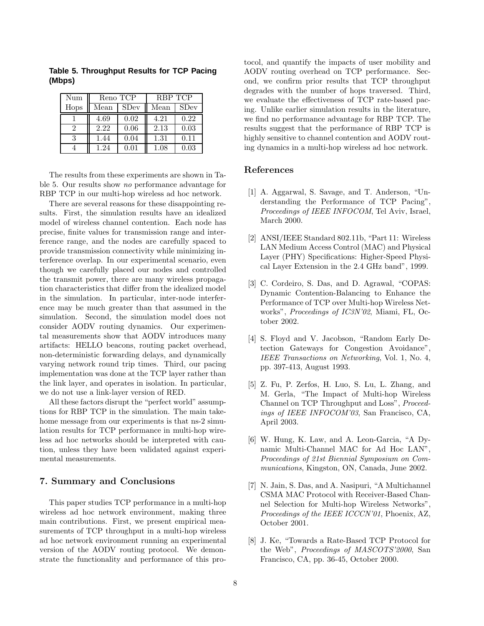| Num  | Reno TCP |             | RBP TCP |             |
|------|----------|-------------|---------|-------------|
| Hops | Mean     | <b>SDev</b> | Mean    | <b>SDev</b> |
|      | 4.69     | 0.02        | 4.21    | 0.22        |
|      | 2.22     | 0.06        | 2.13    | 0.03        |
| 3    | 1.44     | 0.04        | 1.31    | 0.11        |
|      | 1.24     |             | 1.08    | 0.03        |

**Table 5. Throughput Results for TCP Pacing (Mbps)**

The results from these experiments are shown in Table 5. Our results show no performance advantage for RBP TCP in our multi-hop wireless ad hoc network.

There are several reasons for these disappointing results. First, the simulation results have an idealized model of wireless channel contention. Each node has precise, finite values for transmission range and interference range, and the nodes are carefully spaced to provide transmission connectivity while minimizing interference overlap. In our experimental scenario, even though we carefully placed our nodes and controlled the transmit power, there are many wireless propagation characteristics that differ from the idealized model in the simulation. In particular, inter-node interference may be much greater than that assumed in the simulation. Second, the simulation model does not consider AODV routing dynamics. Our experimental measurements show that AODV introduces many artifacts: HELLO beacons, routing packet overhead, non-deterministic forwarding delays, and dynamically varying network round trip times. Third, our pacing implementation was done at the TCP layer rather than the link layer, and operates in isolation. In particular, we do not use a link-layer version of RED.

All these factors disrupt the "perfect world" assumptions for RBP TCP in the simulation. The main takehome message from our experiments is that ns-2 simulation results for TCP performance in multi-hop wireless ad hoc networks should be interpreted with caution, unless they have been validated against experimental measurements.

# 7. Summary and Conclusions

This paper studies TCP performance in a multi-hop wireless ad hoc network environment, making three main contributions. First, we present empirical measurements of TCP throughput in a multi-hop wireless ad hoc network environment running an experimental version of the AODV routing protocol. We demonstrate the functionality and performance of this protocol, and quantify the impacts of user mobility and AODV routing overhead on TCP performance. Second, we confirm prior results that TCP throughput degrades with the number of hops traversed. Third, we evaluate the effectiveness of TCP rate-based pacing. Unlike earlier simulation results in the literature, we find no performance advantage for RBP TCP. The results suggest that the performance of RBP TCP is highly sensitive to channel contention and AODV routing dynamics in a multi-hop wireless ad hoc network.

## References

- [1] A. Aggarwal, S. Savage, and T. Anderson, "Understanding the Performance of TCP Pacing", Proceedings of IEEE INFOCOM, Tel Aviv, Israel, March 2000.
- [2] ANSI/IEEE Standard 802.11b, "Part 11: Wireless LAN Medium Access Control (MAC) and Physical Layer (PHY) Specifications: Higher-Speed Physical Layer Extension in the 2.4 GHz band", 1999.
- [3] C. Cordeiro, S. Das, and D. Agrawal, "COPAS: Dynamic Contention-Balancing to Enhance the Performance of TCP over Multi-hop Wireless Networks", Proceedings of IC3N'02, Miami, FL, October 2002.
- [4] S. Floyd and V. Jacobson, "Random Early Detection Gateways for Congestion Avoidance", IEEE Transactions on Networking, Vol. 1, No. 4, pp. 397-413, August 1993.
- [5] Z. Fu, P. Zerfos, H. Luo, S. Lu, L. Zhang, and M. Gerla, "The Impact of Multi-hop Wireless Channel on TCP Throughput and Loss", Proceedings of IEEE INFOCOM'03, San Francisco, CA, April 2003.
- [6] W. Hung, K. Law, and A. Leon-Garcia, "A Dynamic Multi-Channel MAC for Ad Hoc LAN", Proceedings of 21st Biennial Symposium on Communications, Kingston, ON, Canada, June 2002.
- [7] N. Jain, S. Das, and A. Nasipuri, "A Multichannel CSMA MAC Protocol with Receiver-Based Channel Selection for Multi-hop Wireless Networks", Proceedings of the IEEE ICCCN'01, Phoenix, AZ, October 2001.
- [8] J. Ke, "Towards a Rate-Based TCP Protocol for the Web", Proceedings of MASCOTS'2000, San Francisco, CA, pp. 36-45, October 2000.